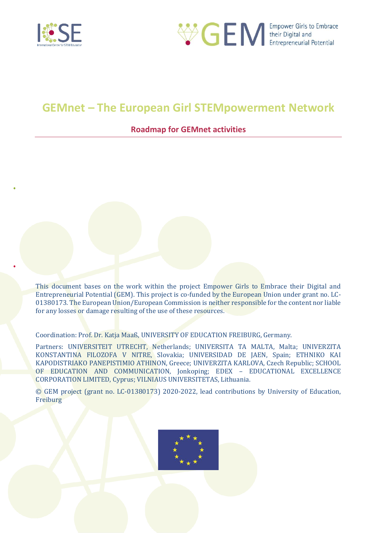



# **GEMnet – The European Girl STEMpowerment Network**

# **Roadmap for GEMnet activities**

This document bases on the work within the project Empower Girls to Embrace their Digital and Entrepreneurial Potential (GEM). This project is co-funded by the European Union under grant no. LC-01380173. The European Union/European Commission is neither responsible for the content nor liable for any losses or damage resulting of the use of these resources.

Coordination: Prof. Dr. Katja Maaß, UNIVERSITY OF EDUCATION FREIBURG, Germany.

Partners: UNIVERSITEIT UTRECHT, Netherlands; UNIVERSITA TA MALTA, Malta; UNIVERZITA KONSTANTINA FILOZOFA V NITRE, Slovakia; UNIVERSIDAD DE JAEN, Spain; ETHNIKO KAI KAPODISTRIAKO PANEPISTIMIO ATHINON, Greece; UNIVERZITA KARLOVA, Czech Republic; SCHOOL OF EDUCATION AND COMMUNICATION, Jonkoping; EDEX – EDUCATIONAL EXCELLENCE CORPORATION LIMITED, Cyprus; VILNIAUS UNIVERSITETAS, Lithuania.

© GEM project (grant no. LC-01380173) 2020-2022, lead contributions by University of Education, Freiburg

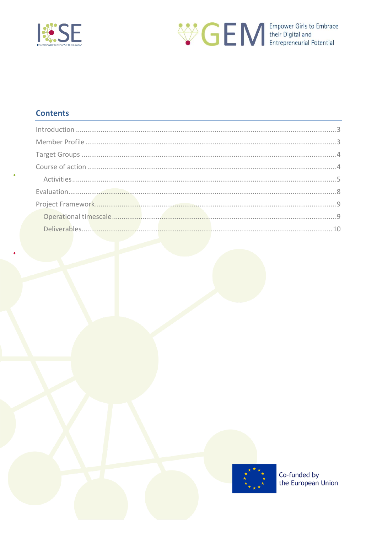



# **Contents**

| $\label{eq:1} \begin{minipage}{0.9\linewidth} \begin{minipage}{0.9\linewidth} \begin{minipage}{0.9\linewidth} \begin{minipage}{0.9\linewidth} \end{minipage} \begin{minipage}{0.9\linewidth} \end{minipage} \begin{minipage}{0.9\linewidth} \begin{minipage}{0.9\linewidth} \end{minipage} \begin{minipage}{0.9\linewidth} \end{minipage} \begin{minipage}{0.9\linewidth} \end{minipage} \begin{minipage}{0.9\linewidth} \end{minipage} \begin{minipage}{0.9\linewidth} \end{minipage} \begin{minipage}{0.9\linewidth} \end{minipage} \$ |  |
|------------------------------------------------------------------------------------------------------------------------------------------------------------------------------------------------------------------------------------------------------------------------------------------------------------------------------------------------------------------------------------------------------------------------------------------------------------------------------------------------------------------------------------------|--|
|                                                                                                                                                                                                                                                                                                                                                                                                                                                                                                                                          |  |
|                                                                                                                                                                                                                                                                                                                                                                                                                                                                                                                                          |  |
|                                                                                                                                                                                                                                                                                                                                                                                                                                                                                                                                          |  |
|                                                                                                                                                                                                                                                                                                                                                                                                                                                                                                                                          |  |
|                                                                                                                                                                                                                                                                                                                                                                                                                                                                                                                                          |  |
|                                                                                                                                                                                                                                                                                                                                                                                                                                                                                                                                          |  |
|                                                                                                                                                                                                                                                                                                                                                                                                                                                                                                                                          |  |
|                                                                                                                                                                                                                                                                                                                                                                                                                                                                                                                                          |  |

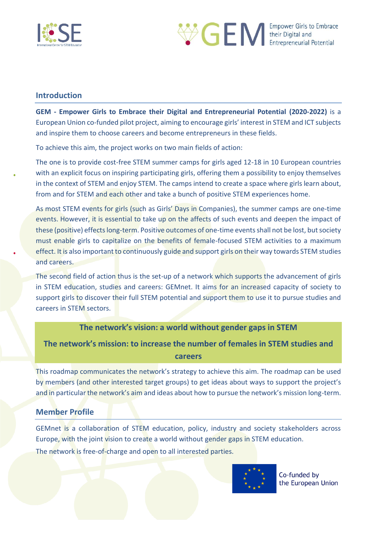



## <span id="page-2-0"></span>**Introduction**

**GEM - Empower Girls to Embrace their Digital and Entrepreneurial Potential (2020-2022)** is a European Union co-funded pilot project, aiming to encourage girls' interest in STEM and ICT subjects and inspire them to choose careers and become entrepreneurs in these fields.

To achieve this aim, the project works on two main fields of action:

The one is to provide cost-free STEM summer camps for girls aged 12-18 in 10 European countries with an explicit focus on inspiring participating girls, offering them a possibility to enjoy themselves in the context of STEM and enjoy STEM. The camps intend to create a space where girls learn about, from and for STEM and each other and take a bunch of positive STEM experiences home.

As most STEM events for girls (such as Girls' Days in Companies), the summer camps are one-time events. However, it is essential to take up on the affects of such events and deepen the impact of these (positive) effects long-term. Positive outcomes of one-time events shall not be lost, but society must enable girls to capitalize on the benefits of female-focused STEM activities to a maximum effect. It is also important to continuously guide and support girls on their way towards STEM studies and careers.

The second field of action thus is the set-up of a network which supports the advancement of girls in STEM education, studies and careers: GEMnet. It aims for an increased capacity of society to support girls to discover their full STEM potential and support them to use it to pursue studies and careers in STEM sectors.

## **The network's vision: a world without gender gaps in STEM**

**The network's mission: to increase the number of females in STEM studies and careers**

This roadmap communicates the network's strategy to achieve this aim. The roadmap can be used by members (and other interested target groups) to get ideas about ways to support the project's and in particular the network's aim and ideas about how to pursue the network's mission long-term.

## <span id="page-2-1"></span>**Member Profile**

GEMnet is a collaboration of STEM education, policy, industry and society stakeholders across Europe, with the joint vision to create a world without gender gaps in STEM education. The network is free-of-charge and open to all interested parties.

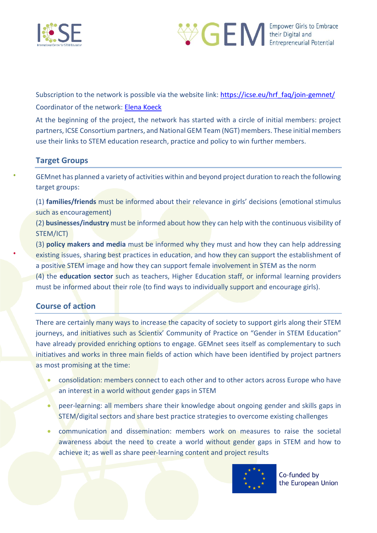



Subscription to the network is possible via the website link: [https://icse.eu/hrf\\_faq/join-gemnet/](https://icse.eu/hrf_faq/join-gemnet/) Coordinator of the network: [Elena Koeck](mailto:elena.koeck@ph-freiburg.de)

At the beginning of the project, the network has started with a circle of initial members: project partners, ICSE Consortium partners, and National GEM Team (NGT) members. These initial members use their links to STEM education research, practice and policy to win further members.

## <span id="page-3-0"></span>**Target Groups**

GEMnet has planned a variety of activities within and beyond project duration to reach the following target groups:

(1) **families/friends** must be informed about their relevance in girls' decisions (emotional stimulus such as encouragement)

(2) **businesses/industry** must be informed about how they can help with the continuous visibility of STEM/ICT)

(3) **policy makers and media** must be informed why they must and how they can help addressing existing issues, sharing best practices in education, and how they can support the establishment of a positive STEM image and how they can support female involvement in STEM as the norm (4) the **education sector** such as teachers, Higher Education staff, or informal learning providers must be informed about their role (to find ways to individually support and encourage girls).

## <span id="page-3-1"></span>**Course of action**

There are certainly many ways to increase the capacity of society to support girls along their STEM journeys, and initiatives such as Scientix' Community of Practice on "Gender in STEM Education" have already provided enriching options to engage. GEMnet sees itself as complementary to such initiatives and works in three main fields of action which have been identified by project partners as most promising at the time:

- consolidation: members connect to each other and to other actors across Europe who have an interest in a world without gender gaps in STEM
- peer-learning: all members share their knowledge about ongoing gender and skills gaps in STEM/digital sectors and share best practice strategies to overcome existing challenges
- communication and dissemination: members work on measures to raise the societal awareness about the need to create a world without gender gaps in STEM and how to achieve it; as well as share peer-learning content and project results

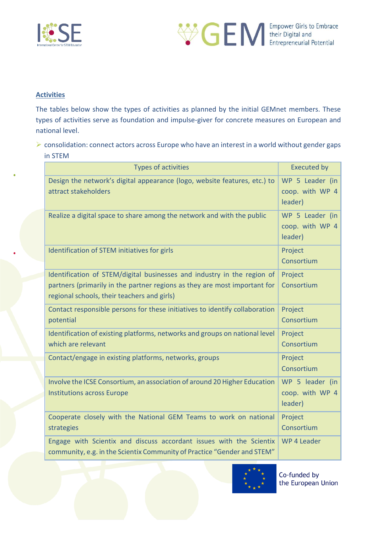



## <span id="page-4-0"></span>**Activities**

The tables below show the types of activities as planned by the initial GEMnet members. These types of activities serve as foundation and impulse-giver for concrete measures on European and national level.

➢ consolidation: connect actors across Europe who have an interest in a world without gender gaps in STEM

| <b>Types of activities</b>                                                                                                                                                                          | <b>Executed by</b>                            |
|-----------------------------------------------------------------------------------------------------------------------------------------------------------------------------------------------------|-----------------------------------------------|
| Design the network's digital appearance (logo, website features, etc.) to<br>attract stakeholders                                                                                                   | WP 5 Leader (in<br>coop. with WP 4<br>leader) |
| Realize a digital space to share among the network and with the public                                                                                                                              | WP 5 Leader (in<br>coop. with WP 4<br>leader) |
| Identification of STEM initiatives for girls                                                                                                                                                        | Project<br>Consortium                         |
| Identification of STEM/digital businesses and industry in the region of<br>partners (primarily in the partner regions as they are most important for<br>regional schools, their teachers and girls) | Project<br>Consortium                         |
| Contact responsible persons for these initiatives to identify collaboration<br>potential                                                                                                            | Project<br>Consortium                         |
| Identification of existing platforms, networks and groups on national level<br>which are relevant                                                                                                   | Project<br>Consortium                         |
| Contact/engage in existing platforms, networks, groups                                                                                                                                              | Project<br>Consortium                         |
| Involve the ICSE Consortium, an association of around 20 Higher Education<br><b>Institutions across Europe</b>                                                                                      | WP 5 leader (in<br>coop. with WP 4<br>leader) |
| Cooperate closely with the National GEM Teams to work on national<br>strategies                                                                                                                     | Project<br>Consortium                         |
| Engage with Scientix and discuss accordant issues with the Scientix<br>community, e.g. in the Scientix Community of Practice "Gender and STEM"                                                      | WP 4 Leader                                   |

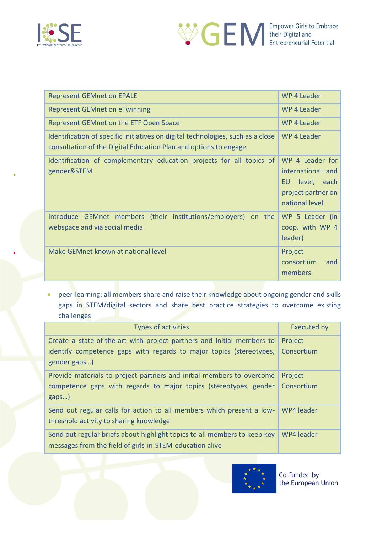



| <b>Represent GEMnet on EPALE</b>                                                                                                                    | WP 4 Leader                                                                                        |  |  |
|-----------------------------------------------------------------------------------------------------------------------------------------------------|----------------------------------------------------------------------------------------------------|--|--|
| <b>Represent GEMnet on eTwinning</b>                                                                                                                | WP 4 Leader                                                                                        |  |  |
| Represent GEMnet on the ETF Open Space                                                                                                              | WP 4 Leader                                                                                        |  |  |
| Identification of specific initiatives on digital technologies, such as a close<br>consultation of the Digital Education Plan and options to engage | WP 4 Leader                                                                                        |  |  |
| Identification of complementary education projects for all topics of<br>gender&STEM                                                                 | WP 4 Leader for<br>international and<br>level, each<br>EU.<br>project partner on<br>national level |  |  |
| Introduce GEMnet members (their institutions/employers) on the<br>webspace and via social media                                                     | WP 5 Leader (in<br>coop. with WP 4<br>leader)                                                      |  |  |
| Make GEMnet known at national level                                                                                                                 | Project<br>consortium<br>and<br>members                                                            |  |  |

• peer-learning: all members share and raise their knowledge about ongoing gender and skills gaps in STEM/digital sectors and share best practice strategies to overcome existing challenges

| <b>Types of activities</b>                                                                                                            | <b>Executed by</b> |
|---------------------------------------------------------------------------------------------------------------------------------------|--------------------|
| Create a state-of-the-art with project partners and initial members to                                                                | Project            |
| identify competence gaps with regards to major topics (stereotypes,<br>gender gaps)                                                   | Consortium         |
| Provide materials to project partners and initial members to overcome                                                                 | Project            |
| competence gaps with regards to major topics (stereotypes, gender<br>gaps)                                                            | Consortium         |
| Send out regular calls for action to all members which present a low-<br>threshold activity to sharing knowledge                      | WP4 leader         |
| Send out regular briefs about highlight topics to all members to keep key<br>messages from the field of girls-in-STEM-education alive | WP4 leader         |

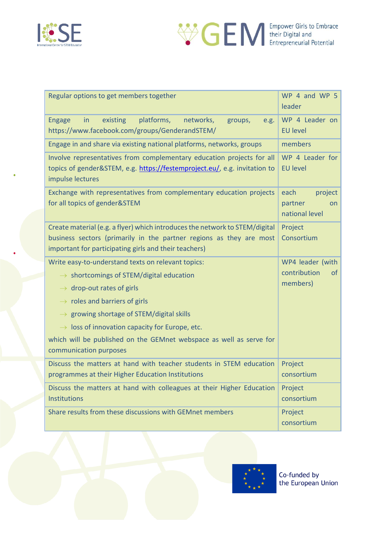



| <b>Empower Girls to Embrace</b>  |
|----------------------------------|
| their Digital and                |
| <b>Entrepreneurial Potential</b> |

| Regular options to get members together                                                                                                                                                                                                                                                                                                                                                                                  | WP 4 and WP 5<br>leader                                       |
|--------------------------------------------------------------------------------------------------------------------------------------------------------------------------------------------------------------------------------------------------------------------------------------------------------------------------------------------------------------------------------------------------------------------------|---------------------------------------------------------------|
| existing<br>platforms,<br>networks,<br><b>Engage</b><br>in<br>groups,<br>e.g.<br>https://www.facebook.com/groups/GenderandSTEM/                                                                                                                                                                                                                                                                                          | WP 4 Leader on<br><b>EU level</b>                             |
| Engage in and share via existing national platforms, networks, groups                                                                                                                                                                                                                                                                                                                                                    | members                                                       |
| Involve representatives from complementary education projects for all<br>topics of gender&STEM, e.g. https://festemproject.eu/, e.g. invitation to<br>impulse lectures                                                                                                                                                                                                                                                   | WP 4 Leader for<br><b>EU level</b>                            |
| Exchange with representatives from complementary education projects<br>for all topics of gender&STEM                                                                                                                                                                                                                                                                                                                     | each<br>project<br>partner<br>on<br>national level            |
| Create material (e.g. a flyer) which introduces the network to STEM/digital<br>business sectors (primarily in the partner regions as they are most<br>important for participating girls and their teachers)                                                                                                                                                                                                              | Project<br>Consortium                                         |
| Write easy-to-understand texts on relevant topics:<br>$\rightarrow$ shortcomings of STEM/digital education<br>$\rightarrow$ drop-out rates of girls<br>$\rightarrow$ roles and barriers of girls<br>$\rightarrow$ growing shortage of STEM/digital skills<br>$\rightarrow$ loss of innovation capacity for Europe, etc.<br>which will be published on the GEMnet webspace as well as serve for<br>communication purposes | WP4 leader (with<br>contribution<br><sub>of</sub><br>members) |
| Discuss the matters at hand with teacher students in STEM education<br>programmes at their Higher Education Institutions                                                                                                                                                                                                                                                                                                 | Project<br>consortium                                         |
| Discuss the matters at hand with colleagues at their Higher Education<br>Institutions                                                                                                                                                                                                                                                                                                                                    | Project<br>consortium                                         |
| Share results from these discussions with GEMnet members                                                                                                                                                                                                                                                                                                                                                                 |                                                               |

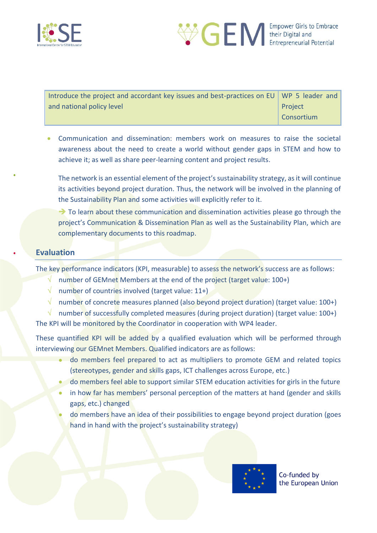



| Introduce the project and accordant key issues and best-practices on EU WP 5 leader and |            |  |
|-----------------------------------------------------------------------------------------|------------|--|
| and national policy level                                                               | Project    |  |
|                                                                                         | Consortium |  |

• Communication and dissemination: members work on measures to raise the societal awareness about the need to create a world without gender gaps in STEM and how to achieve it; as well as share peer-learning content and project results.

The network is an essential element of the project's sustainability strategy, as it will continue its activities beyond project duration. Thus, the network will be involved in the planning of the Sustainability Plan and some activities will explicitly refer to it.

 $\rightarrow$  To learn about these communication and dissemination activities please go through the project's Communication & Dissemination Plan as well as the Sustainability Plan, which are complementary documents to this roadmap.

## <span id="page-7-0"></span>**Evaluation**

The key performance indicators (KPI, measurable) to assess the network's success are as follows:

- $\sqrt{\phantom{a}}$  number of GEMnet Members at the end of the project (target value: 100+)
- $\sqrt{\phantom{a}}$  number of countries involved (target value: 11+)
- $\sqrt{\phantom{a}}$  number of concrete measures planned (also beyond project duration) (target value: 100+)

 $\sqrt{\phantom{a}}$  number of successfully completed measures (during project duration) (target value: 100+) The KPI will be monitored by the Coordinator in cooperation with WP4 leader.

These quantified KPI will be added by a qualified evaluation which will be performed through interviewing our GEMnet Members. Qualified indicators are as follows:

- do members feel prepared to act as multipliers to promote GEM and related topics (stereotypes, gender and skills gaps, ICT challenges across Europe, etc.)
- do members feel able to support similar STEM education activities for girls in the future
- in how far has members' personal perception of the matters at hand (gender and skills gaps, etc.) changed
- do members have an idea of their possibilities to engage beyond project duration (goes hand in hand with the project's sustainability strategy)

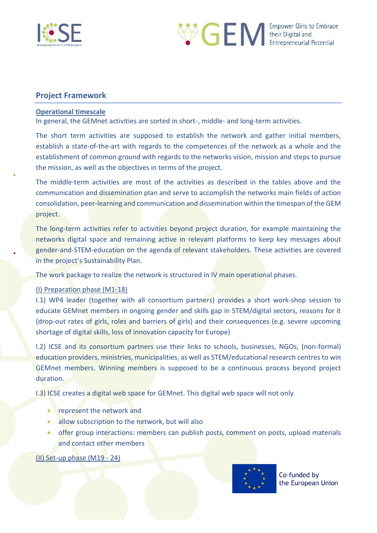



#### <span id="page-8-0"></span>**Project Framework**

#### <span id="page-8-1"></span>**Operational timescale**

In general, the GEMnet activities are sorted in short-, middle- and long-term activities.

The short term activities are supposed to establish the network and gather initial members, establish a state-of-the-art with regards to the competences of the network as a whole and the establishment of common ground with regards to the networks vision, mission and steps to pursue the mission, as well as the objectives in terms of the project.

The middle-term activities are most of the activities as described in the tables above and the communication and dissemination plan and serve to accomplish the networks main fields of action consolidation, peer-learning and communication and dissemination within the timespan of the GEM project.

The long-term activities refer to activities beyond project duration, for example maintaining the networks digital space and remaining active in relevant platforms to keep key messages about gender-and-STEM-education on the agenda of relevant stakeholders. These activities are covered in the project's Sustainability Plan.

The work package to realize the network is structured in IV main operational phases.

#### (I) Preparation phase (M1-18)

I.1) WP4 leader (together with all consortium partners) provides a short work-shop session to educate GEMnet members in ongoing gender and skills gap in STEM/digital sectors, reasons for it (drop-out rates of girls, roles and barriers of girls) and their consequences (e.g. severe upcoming shortage of digital skills, loss of innovation capacity for Europe)

I.2) ICSE and its consortium partners use their links to schools, businesses, NGOs, (non-formal) education providers, ministries, municipalities, as well as STEM/educational research centres to win GEMnet members. Winning members is supposed to be a continuous process beyond project duration.

I.3) ICSE creates a digital web space for GEMnet. This digital web space will not only

- represent the network and
- allow subscription to the network, but will also
- offer group interactions: members can publish posts, comment on posts, upload materials and contact other members

#### (II) Set-up phase (M19 - 24)